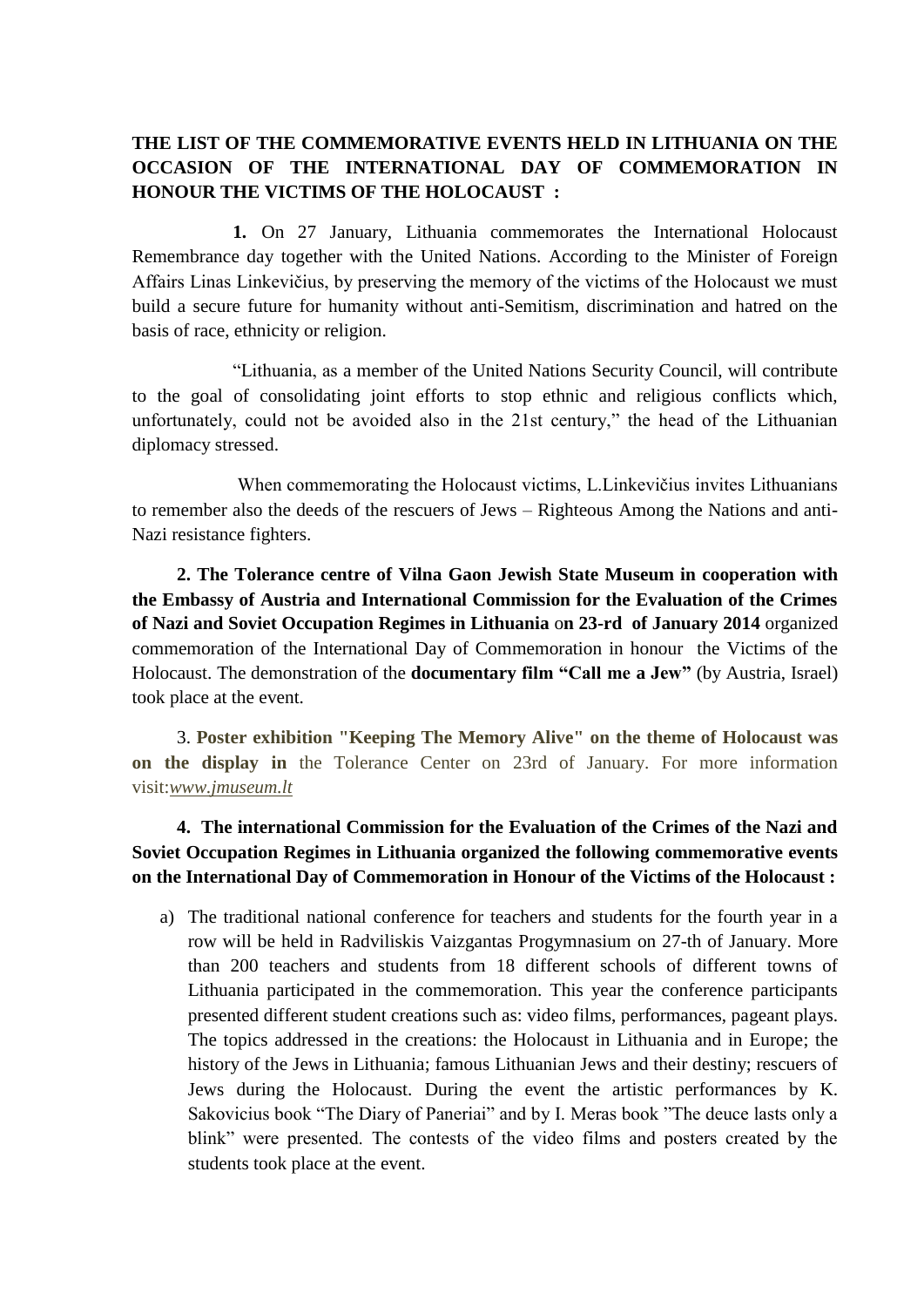## **THE LIST OF THE COMMEMORATIVE EVENTS HELD IN LITHUANIA ON THE OCCASION OF THE INTERNATIONAL DAY OF COMMEMORATION IN HONOUR THE VICTIMS OF THE HOLOCAUST :**

**1.** On 27 January, Lithuania commemorates the International Holocaust Remembrance day together with the United Nations. According to the Minister of Foreign Affairs Linas Linkevičius, by preserving the memory of the victims of the Holocaust we must build a secure future for humanity without anti-Semitism, discrimination and hatred on the basis of race, ethnicity or religion.

"Lithuania, as a member of the United Nations Security Council, will contribute to the goal of consolidating joint efforts to stop ethnic and religious conflicts which, unfortunately, could not be avoided also in the 21st century," the head of the Lithuanian diplomacy stressed.

When commemorating the Holocaust victims, L.Linkevičius invites Lithuanians to remember also the deeds of the rescuers of Jews – Righteous Among the Nations and anti-Nazi resistance fighters.

**2. The Tolerance centre of Vilna Gaon Jewish State Museum in cooperation with the Embassy of Austria and International Commission for the Evaluation of the Crimes of Nazi and Soviet Occupation Regimes in Lithuania** o**n 23-rd of January 2014** organized commemoration of the International Day of Commemoration in honour the Victims of the Holocaust. The demonstration of the **documentary film "Call me a Jew"** (by Austria, Israel) took place at the event.

3. **Poster exhibition "Keeping The Memory Alive" on the theme of Holocaust was on the display in** the Tolerance Center on 23rd of January. For more information visit:*[www.jmuseum.lt](http://www.jmuseum.lt/)*

## **4. The international Commission for the Evaluation of the Crimes of the Nazi and Soviet Occupation Regimes in Lithuania organized the following commemorative events on the International Day of Commemoration in Honour of the Victims of the Holocaust :**

a) The traditional national conference for teachers and students for the fourth year in a row will be held in Radviliskis Vaizgantas Progymnasium on 27-th of January. More than 200 teachers and students from 18 different schools of different towns of Lithuania participated in the commemoration. This year the conference participants presented different student creations such as: video films, performances, pageant plays. The topics addressed in the creations: the Holocaust in Lithuania and in Europe; the history of the Jews in Lithuania; famous Lithuanian Jews and their destiny; rescuers of Jews during the Holocaust. During the event the artistic performances by K. Sakovicius book "The Diary of Paneriai" and by I. Meras book "The deuce lasts only a blink" were presented. The contests of the video films and posters created by the students took place at the event.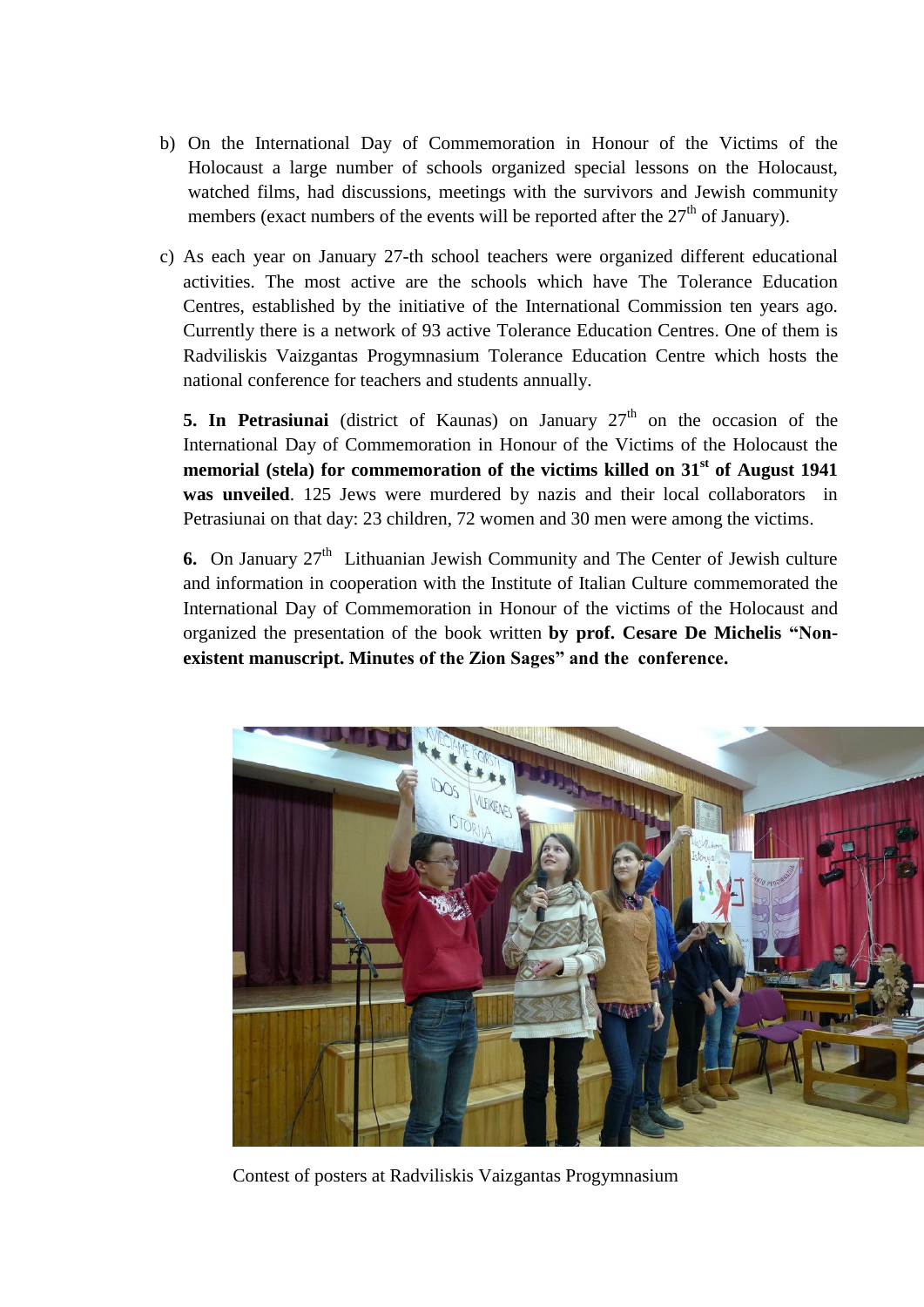- b) On the International Day of Commemoration in Honour of the Victims of the Holocaust a large number of schools organized special lessons on the Holocaust, watched films, had discussions, meetings with the survivors and Jewish community members (exact numbers of the events will be reported after the  $27<sup>th</sup>$  of January).
- c) As each year on January 27-th school teachers were organized different educational activities. The most active are the schools which have The Tolerance Education Centres, established by the initiative of the International Commission ten years ago. Currently there is a network of 93 active Tolerance Education Centres. One of them is Radviliskis Vaizgantas Progymnasium Tolerance Education Centre which hosts the national conference for teachers and students annually.

**5. In Petrasiunai** (district of Kaunas) on January  $27<sup>th</sup>$  on the occasion of the International Day of Commemoration in Honour of the Victims of the Holocaust the **memorial (stela) for commemoration of the victims killed on 31st of August 1941 was unveiled**. 125 Jews were murdered by nazis and their local collaborators in Petrasiunai on that day: 23 children, 72 women and 30 men were among the victims.

**6.** On January  $27<sup>th</sup>$  Lithuanian Jewish Community and The Center of Jewish culture and information in cooperation with the Institute of Italian Culture commemorated the International Day of Commemoration in Honour of the victims of the Holocaust and organized the presentation of the book written **by prof. Cesare De Michelis "Nonexistent manuscript. Minutes of the Zion Sages" and the conference.** 



Contest of posters at Radviliskis Vaizgantas Progymnasium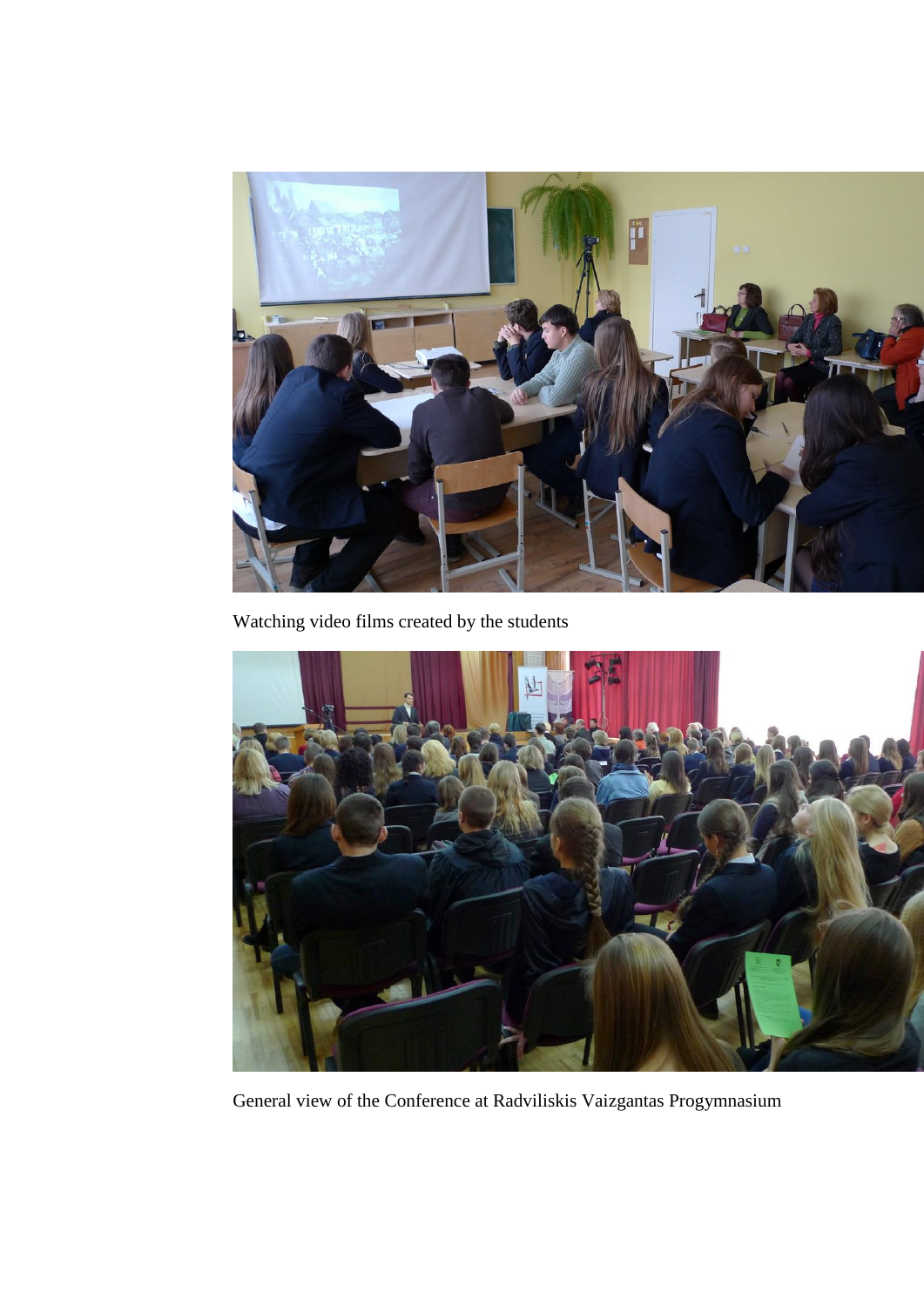

Watching video films created by the students



General view of the Conference at Radviliskis Vaizgantas Progymnasium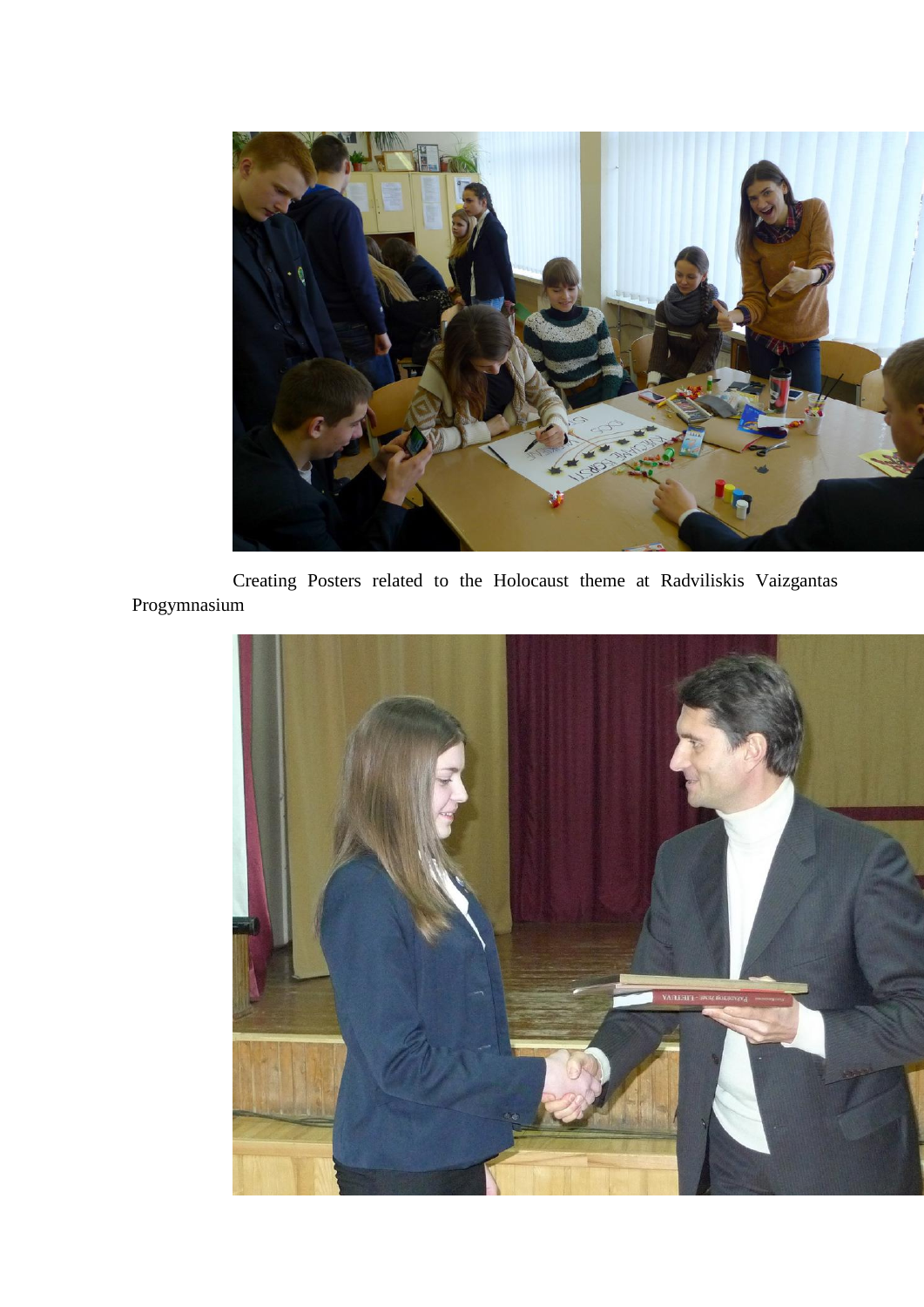

Creating Posters related to the Holocaust theme at Radviliskis Vaizgantas Progymnasium